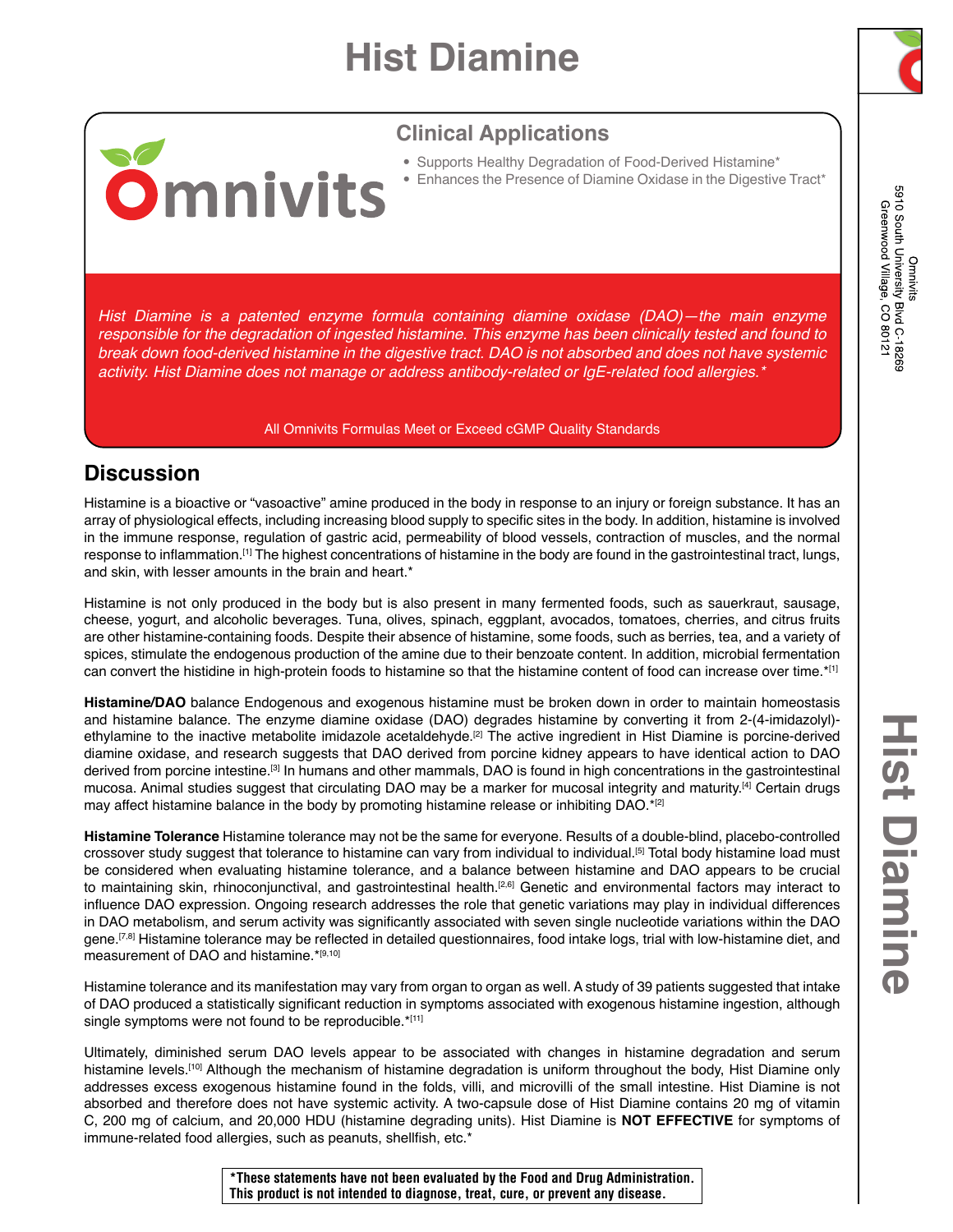# **Hist Diamine**



5910 South University Blvd C-18269 Greenwood Village, CO 80121 Omnivits

### **Clinical Applications**

- Supports Healthy Degradation of Food-Derived Histamine\*
- Enhances the Presence of Diamine Oxidase in the Digestive Tract\*

*Hist Diamine is a patented enzyme formula containing diamine oxidase (DAO)—the main enzyme responsible for the degradation of ingested histamine. This enzyme has been clinically tested and found to break down food-derived histamine in the digestive tract. DAO is not absorbed and does not have systemic activity. Hist Diamine does not manage or address antibody-related or IgE-related food allergies.\**

#### All Omnivits Formulas Meet or Exceed cGMP Quality Standards

### **Discussion**

**Omnivits** 

Histamine is a bioactive or "vasoactive" amine produced in the body in response to an injury or foreign substance. It has an array of physiological effects, including increasing blood supply to specific sites in the body. In addition, histamine is involved in the immune response, regulation of gastric acid, permeability of blood vessels, contraction of muscles, and the normal response to inflammation.[1] The highest concentrations of histamine in the body are found in the gastrointestinal tract, lungs, and skin, with lesser amounts in the brain and heart.\*

Histamine is not only produced in the body but is also present in many fermented foods, such as sauerkraut, sausage, cheese, yogurt, and alcoholic beverages. Tuna, olives, spinach, eggplant, avocados, tomatoes, cherries, and citrus fruits are other histamine-containing foods. Despite their absence of histamine, some foods, such as berries, tea, and a variety of spices, stimulate the endogenous production of the amine due to their benzoate content. In addition, microbial fermentation can convert the histidine in high-protein foods to histamine so that the histamine content of food can increase over time.\*[1]

**Histamine/DAO** balance Endogenous and exogenous histamine must be broken down in order to maintain homeostasis and histamine balance. The enzyme diamine oxidase (DAO) degrades histamine by converting it from 2-(4-imidazolyl) ethylamine to the inactive metabolite imidazole acetaldehyde.<sup>[2]</sup> The active ingredient in Hist Diamine is porcine-derived diamine oxidase, and research suggests that DAO derived from porcine kidney appears to have identical action to DAO derived from porcine intestine.[3] In humans and other mammals, DAO is found in high concentrations in the gastrointestinal mucosa. Animal studies suggest that circulating DAO may be a marker for mucosal integrity and maturity.[4] Certain drugs may affect histamine balance in the body by promoting histamine release or inhibiting DAO.\*[2]

**Histamine Tolerance** Histamine tolerance may not be the same for everyone. Results of a double-blind, placebo-controlled crossover study suggest that tolerance to histamine can vary from individual to individual.[5] Total body histamine load must be considered when evaluating histamine tolerance, and a balance between histamine and DAO appears to be crucial to maintaining skin, rhinoconjunctival, and gastrointestinal health.[2,6] Genetic and environmental factors may interact to influence DAO expression. Ongoing research addresses the role that genetic variations may play in individual differences in DAO metabolism, and serum activity was significantly associated with seven single nucleotide variations within the DAO gene.<sup>[7,8]</sup> Histamine tolerance may be reflected in detailed questionnaires, food intake logs, trial with low-histamine diet, and measurement of DAO and histamine.\*[9,10]

Histamine tolerance and its manifestation may vary from organ to organ as well. A study of 39 patients suggested that intake of DAO produced a statistically significant reduction in symptoms associated with exogenous histamine ingestion, although single symptoms were not found to be reproducible.\*[11]

Ultimately, diminished serum DAO levels appear to be associated with changes in histamine degradation and serum histamine levels.<sup>[10]</sup> Although the mechanism of histamine degradation is uniform throughout the body, Hist Diamine only addresses excess exogenous histamine found in the folds, villi, and microvilli of the small intestine. Hist Diamine is not absorbed and therefore does not have systemic activity. A two-capsule dose of Hist Diamine contains 20 mg of vitamin C, 200 mg of calcium, and 20,000 HDU (histamine degrading units). Hist Diamine is **NOT EFFECTIVE** for symptoms of immune-related food allergies, such as peanuts, shellfish, etc.\*

**\*These statements have not been evaluated by the Food and Drug Administration. This product is not intended to diagnose, treat, cure, or prevent any disease.**